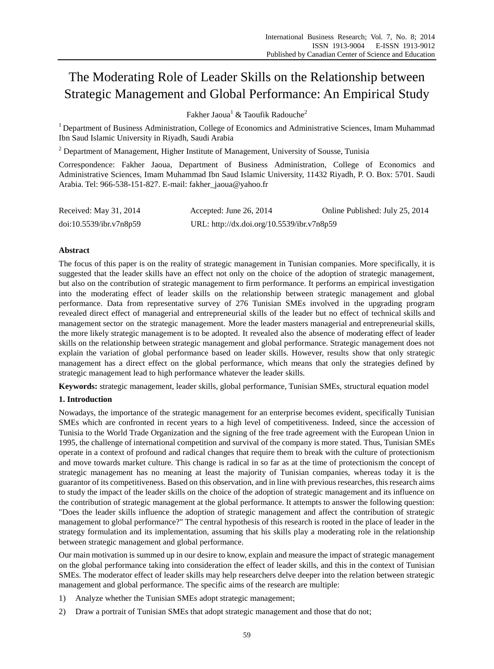# The Moderating Role of Leader Skills on the Relationship between Strategic Management and Global Performance: An Empirical Study

Fakher Jaoua<sup>1</sup> & Taoufik Radouche<sup>2</sup>

 $1$  Department of Business Administration, College of Economics and Administrative Sciences, Imam Muhammad Ibn Saud Islamic University in Riyadh, Saudi Arabia

<sup>2</sup> Department of Management, Higher Institute of Management, University of Sousse, Tunisia

Correspondence: Fakher Jaoua, Department of Business Administration, College of Economics and Administrative Sciences, Imam Muhammad Ibn Saud Islamic University, 11432 Riyadh, P. O. Box: 5701. Saudi Arabia. Tel: 966-538-151-827. E-mail: fakher\_jaoua@yahoo.fr

| Received: May 31, 2014  | Accepted: June 26, 2014                    | Online Published: July 25, 2014 |
|-------------------------|--------------------------------------------|---------------------------------|
| doi:10.5539/ibr.v7n8p59 | URL: http://dx.doi.org/10.5539/ibr.v7n8p59 |                                 |

# **Abstract**

The focus of this paper is on the reality of strategic management in Tunisian companies. More specifically, it is suggested that the leader skills have an effect not only on the choice of the adoption of strategic management, but also on the contribution of strategic management to firm performance. It performs an empirical investigation into the moderating effect of leader skills on the relationship between strategic management and global performance. Data from representative survey of 276 Tunisian SMEs involved in the upgrading program revealed direct effect of managerial and entrepreneurial skills of the leader but no effect of technical skills and management sector on the strategic management. More the leader masters managerial and entrepreneurial skills, the more likely strategic management is to be adopted. It revealed also the absence of moderating effect of leader skills on the relationship between strategic management and global performance. Strategic management does not explain the variation of global performance based on leader skills. However, results show that only strategic management has a direct effect on the global performance, which means that only the strategies defined by strategic management lead to high performance whatever the leader skills.

**Keywords:** strategic management, leader skills, global performance, Tunisian SMEs, structural equation model

# **1. Introduction**

Nowadays, the importance of the strategic management for an enterprise becomes evident, specifically Tunisian SMEs which are confronted in recent years to a high level of competitiveness. Indeed, since the accession of Tunisia to the World Trade Organization and the signing of the free trade agreement with the European Union in 1995, the challenge of international competition and survival of the company is more stated. Thus, Tunisian SMEs operate in a context of profound and radical changes that require them to break with the culture of protectionism and move towards market culture. This change is radical in so far as at the time of protectionism the concept of strategic management has no meaning at least the majority of Tunisian companies, whereas today it is the guarantor of its competitiveness. Based on this observation, and in line with previous researches, this research aims to study the impact of the leader skills on the choice of the adoption of strategic management and its influence on the contribution of strategic management at the global performance. It attempts to answer the following question: "Does the leader skills influence the adoption of strategic management and affect the contribution of strategic management to global performance?" The central hypothesis of this research is rooted in the place of leader in the strategy formulation and its implementation, assuming that his skills play a moderating role in the relationship between strategic management and global performance.

Our main motivation is summed up in our desire to know, explain and measure the impact of strategic management on the global performance taking into consideration the effect of leader skills, and this in the context of Tunisian SMEs. The moderator effect of leader skills may help researchers delve deeper into the relation between strategic management and global performance. The specific aims of the research are multiple:

- 1) Analyze whether the Tunisian SMEs adopt strategic management;
- 2) Draw a portrait of Tunisian SMEs that adopt strategic management and those that do not;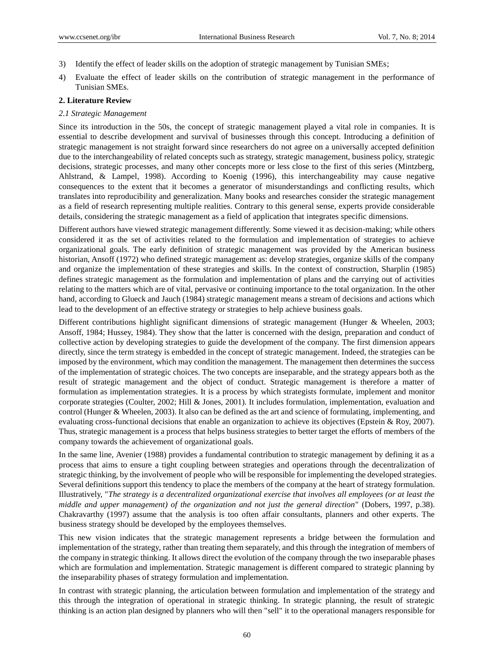- 3) Identify the effect of leader skills on the adoption of strategic management by Tunisian SMEs;
- 4) Evaluate the effect of leader skills on the contribution of strategic management in the performance of Tunisian SMEs.

# **2. Literature Review**

# *2.1 Strategic Management*

Since its introduction in the 50s, the concept of strategic management played a vital role in companies. It is essential to describe development and survival of businesses through this concept. Introducing a definition of strategic management is not straight forward since researchers do not agree on a universally accepted definition due to the interchangeability of related concepts such as strategy, strategic management, business policy, strategic decisions, strategic processes, and many other concepts more or less close to the first of this series (Mintzberg, Ahlstrand, & Lampel, 1998). According to Koenig (1996), this interchangeability may cause negative consequences to the extent that it becomes a generator of misunderstandings and conflicting results, which translates into reproducibility and generalization. Many books and researches consider the strategic management as a field of research representing multiple realities. Contrary to this general sense, experts provide considerable details, considering the strategic management as a field of application that integrates specific dimensions.

Different authors have viewed strategic management differently. Some viewed it as decision-making; while others considered it as the set of activities related to the formulation and implementation of strategies to achieve organizational goals. The early definition of strategic management was provided by the American business historian, Ansoff (1972) who defined strategic management as: develop strategies, organize skills of the company and organize the implementation of these strategies and skills. In the context of construction, Sharplin (1985) defines strategic management as the formulation and implementation of plans and the carrying out of activities relating to the matters which are of vital, pervasive or continuing importance to the total organization. In the other hand, according to Glueck and Jauch (1984) strategic management means a stream of decisions and actions which lead to the development of an effective strategy or strategies to help achieve business goals.

Different contributions highlight significant dimensions of strategic management (Hunger & Wheelen, 2003; Ansoff, 1984; Hussey, 1984). They show that the latter is concerned with the design, preparation and conduct of collective action by developing strategies to guide the development of the company. The first dimension appears directly, since the term strategy is embedded in the concept of strategic management. Indeed, the strategies can be imposed by the environment, which may condition the management. The management then determines the success of the implementation of strategic choices. The two concepts are inseparable, and the strategy appears both as the result of strategic management and the object of conduct. Strategic management is therefore a matter of formulation as implementation strategies. It is a process by which strategists formulate, implement and monitor corporate strategies (Coulter, 2002; Hill & Jones, 2001). It includes formulation, implementation, evaluation and control (Hunger & Wheelen, 2003). It also can be defined as the art and science of formulating, implementing, and evaluating cross-functional decisions that enable an organization to achieve its objectives (Epstein & Roy, 2007). Thus, strategic management is a process that helps business strategies to better target the efforts of members of the company towards the achievement of organizational goals.

In the same line, Avenier (1988) provides a fundamental contribution to strategic management by defining it as a process that aims to ensure a tight coupling between strategies and operations through the decentralization of strategic thinking, by the involvement of people who will be responsible for implementing the developed strategies. Several definitions support this tendency to place the members of the company at the heart of strategy formulation. Illustratively, "*The strategy is a decentralized organizational exercise that involves all employees (or at least the middle and upper management) of the organization and not just the general direction*" (Dobers, 1997, p.38). Chakravarthy (1997) assume that the analysis is too often affair consultants, planners and other experts. The business strategy should be developed by the employees themselves.

This new vision indicates that the strategic management represents a bridge between the formulation and implementation of the strategy, rather than treating them separately, and this through the integration of members of the company in strategic thinking. It allows direct the evolution of the company through the two inseparable phases which are formulation and implementation. Strategic management is different compared to strategic planning by the inseparability phases of strategy formulation and implementation.

In contrast with strategic planning, the articulation between formulation and implementation of the strategy and this through the integration of operational in strategic thinking. In strategic planning, the result of strategic thinking is an action plan designed by planners who will then "sell" it to the operational managers responsible for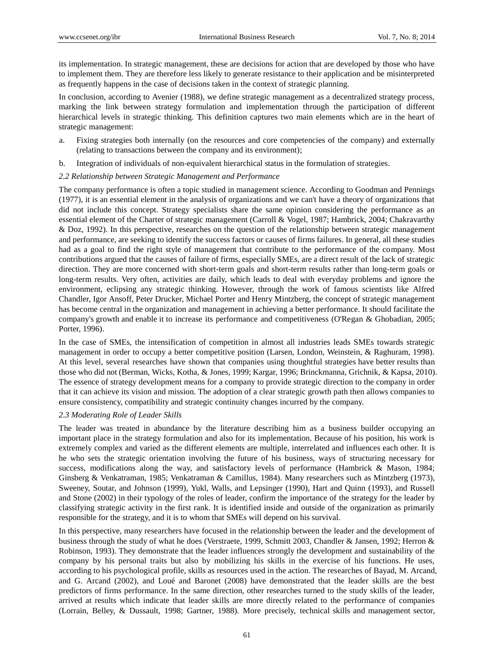its implementation. In strategic management, these are decisions for action that are developed by those who have to implement them. They are therefore less likely to generate resistance to their application and be misinterpreted as frequently happens in the case of decisions taken in the context of strategic planning.

In conclusion, according to Avenier (1988), we define strategic management as a decentralized strategy process, marking the link between strategy formulation and implementation through the participation of different hierarchical levels in strategic thinking. This definition captures two main elements which are in the heart of strategic management:

- a. Fixing strategies both internally (on the resources and core competencies of the company) and externally (relating to transactions between the company and its environment);
- b. Integration of individuals of non-equivalent hierarchical status in the formulation of strategies.

#### *2.2 Relationship between Strategic Management and Performance*

The company performance is often a topic studied in management science. According to Goodman and Pennings (1977), it is an essential element in the analysis of organizations and we can't have a theory of organizations that did not include this concept. Strategy specialists share the same opinion considering the performance as an essential element of the Charter of strategic management (Carroll & Vogel, 1987; Hambrick, 2004; Chakravarthy & Doz, 1992). In this perspective, researches on the question of the relationship between strategic management and performance, are seeking to identify the success factors or causes of firms failures. In general, all these studies had as a goal to find the right style of management that contribute to the performance of the company. Most contributions argued that the causes of failure of firms, especially SMEs, are a direct result of the lack of strategic direction. They are more concerned with short-term goals and short-term results rather than long-term goals or long-term results. Very often, activities are daily, which leads to deal with everyday problems and ignore the environment, eclipsing any strategic thinking. However, through the work of famous scientists like Alfred Chandler, Igor Ansoff, Peter Drucker, Michael Porter and Henry Mintzberg, the concept of strategic management has become central in the organization and management in achieving a better performance. It should facilitate the company's growth and enable it to increase its performance and competitiveness (O'Regan & Ghobadian, 2005; Porter, 1996).

In the case of SMEs, the intensification of competition in almost all industries leads SMEs towards strategic management in order to occupy a better competitive position (Larsen, London, Weinstein, & Raghuram, 1998). At this level, several researches have shown that companies using thoughtful strategies have better results than those who did not (Berman, Wicks, Kotha, & Jones, 1999; Kargar, 1996; Brinckmanna, Grichnik, & Kapsa, 2010). The essence of strategy development means for a company to provide strategic direction to the company in order that it can achieve its vision and mission. The adoption of a clear strategic growth path then allows companies to ensure consistency, compatibility and strategic continuity changes incurred by the company.

## *2.3 Moderating Role of Leader Skills*

The leader was treated in abundance by the literature describing him as a business builder occupying an important place in the strategy formulation and also for its implementation. Because of his position, his work is extremely complex and varied as the different elements are multiple, interrelated and influences each other. It is he who sets the strategic orientation involving the future of his business, ways of structuring necessary for success, modifications along the way, and satisfactory levels of performance (Hambrick & Mason, 1984; Ginsberg & Venkatraman, 1985; Venkatraman & Camillus, 1984). Many researchers such as Mintzberg (1973), Sweeney, Soutar, and Johnson (1999), Yukl, Walls, and Lepsinger (1990), Hart and Quinn (1993), and Russell and Stone (2002) in their typology of the roles of leader, confirm the importance of the strategy for the leader by classifying strategic activity in the first rank. It is identified inside and outside of the organization as primarily responsible for the strategy, and it is to whom that SMEs will depend on his survival.

In this perspective, many researchers have focused in the relationship between the leader and the development of business through the study of what he does (Verstraete, 1999, Schmitt 2003, Chandler & Jansen, 1992; Herron & Robinson, 1993). They demonstrate that the leader influences strongly the development and sustainability of the company by his personal traits but also by mobilizing his skills in the exercise of his functions. He uses, according to his psychological profile, skills as resources used in the action. The researches of Bayad, M. Arcand, and G. Arcand (2002), and Loué and Baronet (2008) have demonstrated that the leader skills are the best predictors of firms performance. In the same direction, other researches turned to the study skills of the leader, arrived at results which indicate that leader skills are more directly related to the performance of companies (Lorrain, Belley, & Dussault, 1998; Gartner, 1988). More precisely, technical skills and management sector,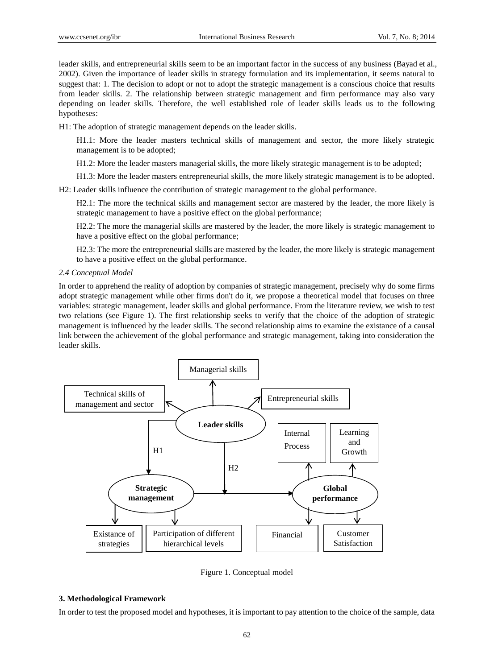leader skills, and entrepreneurial skills seem to be an important factor in the success of any business (Bayad et al., 2002). Given the importance of leader skills in strategy formulation and its implementation, it seems natural to suggest that: 1. The decision to adopt or not to adopt the strategic management is a conscious choice that results from leader skills. 2. The relationship between strategic management and firm performance may also vary depending on leader skills. Therefore, the well established role of leader skills leads us to the following hypotheses:

H1: The adoption of strategic management depends on the leader skills.

H1.1: More the leader masters technical skills of management and sector, the more likely strategic management is to be adopted;

H1.2: More the leader masters managerial skills, the more likely strategic management is to be adopted;

H1.3: More the leader masters entrepreneurial skills, the more likely strategic management is to be adopted.

H2: Leader skills influence the contribution of strategic management to the global performance.

H2.1: The more the technical skills and management sector are mastered by the leader, the more likely is strategic management to have a positive effect on the global performance;

H2.2: The more the managerial skills are mastered by the leader, the more likely is strategic management to have a positive effect on the global performance;

H2.3: The more the entrepreneurial skills are mastered by the leader, the more likely is strategic management to have a positive effect on the global performance.

*2.4 Conceptual Model*

In order to apprehend the reality of adoption by companies of strategic management, precisely why do some firms adopt strategic management while other firms don't do it, we propose a theoretical model that focuses on three variables: strategic management, leader skills and global performance. From the literature review, we wish to test two relations (see Figure 1). The first relationship seeks to verify that the choice of the adoption of strategic management is influenced by the leader skills. The second relationship aims to examine the existance of a causal link between the achievement of the global performance and strategic management, taking into consideration the leader skills.



Figure 1. Conceptual model

## **3. Methodological Framework**

In order to test the proposed model and hypotheses, it is important to pay attention to the choice of the sample, data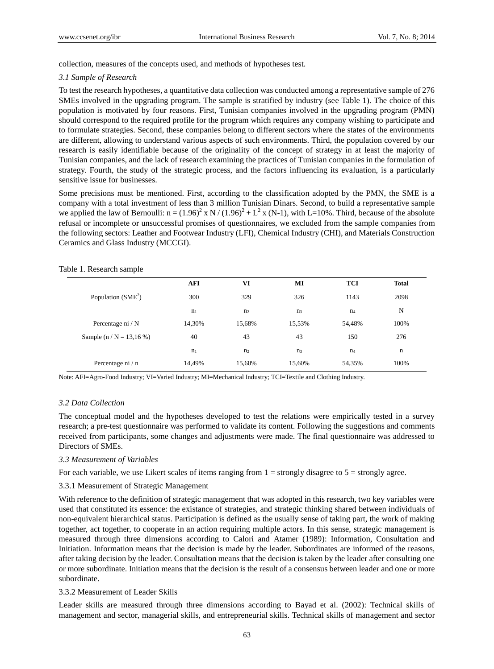collection, measures of the concepts used, and methods of hypotheses test.

#### *3.1 Sample of Research*

To test the research hypotheses, a quantitative data collection was conducted among a representative sample of 276 SMEs involved in the upgrading program. The sample is stratified by industry (see Table 1). The choice of this population is motivated by four reasons. First, Tunisian companies involved in the upgrading program (PMN) should correspond to the required profile for the program which requires any company wishing to participate and to formulate strategies. Second, these companies belong to different sectors where the states of the environments are different, allowing to understand various aspects of such environments. Third, the population covered by our research is easily identifiable because of the originality of the concept of strategy in at least the majority of Tunisian companies, and the lack of research examining the practices of Tunisian companies in the formulation of strategy. Fourth, the study of the strategic process, and the factors influencing its evaluation, is a particularly sensitive issue for businesses.

Some precisions must be mentioned. First, according to the classification adopted by the PMN, the SME is a company with a total investment of less than 3 million Tunisian Dinars. Second, to build a representative sample we applied the law of Bernoulli:  $n = (1.96)^2 \times N / (1.96)^2 + L^2 \times (N-1)$ , with L=10%. Third, because of the absolute refusal or incomplete or unsuccessful promises of questionnaires, we excluded from the sample companies from the following sectors: Leather and Footwear Industry (LFI), Chemical Industry (CHI), and Materials Construction Ceramics and Glass Industry (MCCGI).

|                          | <b>AFI</b>     | VI             | MI             | <b>TCI</b> | <b>Total</b> |
|--------------------------|----------------|----------------|----------------|------------|--------------|
| Population $(SME2)$      | 300            | 329            | 326            | 1143       | 2098         |
|                          | n <sub>1</sub> | n <sub>2</sub> | n <sub>3</sub> | $n_4$      | N            |
| Percentage ni / N        | 14,30%         | 15,68%         | 15,53%         | 54,48%     | 100%         |
| Sample (n / N = 13,16 %) | 40             | 43             | 43             | 150        | 276          |
|                          | n <sub>1</sub> | n <sub>2</sub> | n <sub>3</sub> | $n_4$      | n            |
| Percentage ni / n        | 14,49%         | 15,60%         | 15,60%         | 54,35%     | 100%         |

#### Table 1. Research sample

Note: AFI=Agro-Food Industry; VI=Varied Industry; MI=Mechanical Industry; TCI=Textile and Clothing Industry.

## *3.2 Data Collection*

The conceptual model and the hypotheses developed to test the relations were empirically tested in a survey research; a pre-test questionnaire was performed to validate its content. Following the suggestions and comments received from participants, some changes and adjustments were made. The final questionnaire was addressed to Directors of SMEs.

# *3.3 Measurement of Variables*

For each variable, we use Likert scales of items ranging from  $1 =$  strongly disagree to  $5 =$  strongly agree.

#### 3.3.1 Measurement of Strategic Management

With reference to the definition of strategic management that was adopted in this research, two key variables were used that constituted its essence: the existance of strategies, and strategic thinking shared between individuals of non-equivalent hierarchical status. Participation is defined as the usually sense of taking part, the work of making together, act together, to cooperate in an action requiring multiple actors. In this sense, strategic management is measured through three dimensions according to Calori and Atamer (1989): Information, Consultation and Initiation. Information means that the decision is made by the leader. Subordinates are informed of the reasons, after taking decision by the leader. Consultation means that the decision is taken by the leader after consulting one or more subordinate. Initiation means that the decision is the result of a consensus between leader and one or more subordinate.

# 3.3.2 Measurement of Leader Skills

Leader skills are measured through three dimensions according to Bayad et al. (2002): Technical skills of management and sector, managerial skills, and entrepreneurial skills. Technical skills of management and sector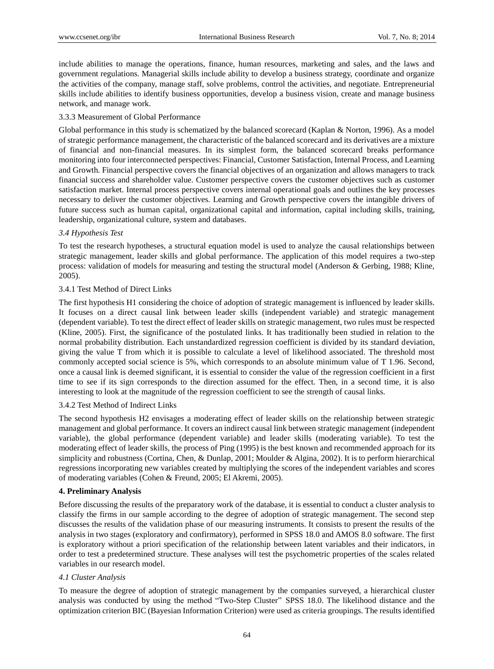include abilities to manage the operations, finance, human resources, marketing and sales, and the laws and government regulations. Managerial skills include ability to develop a business strategy, coordinate and organize the activities of the company, manage staff, solve problems, control the activities, and negotiate. Entrepreneurial skills include abilities to identify business opportunities, develop a business vision, create and manage business network, and manage work.

# 3.3.3 Measurement of Global Performance

Global performance in this study is schematized by the balanced scorecard (Kaplan & Norton, 1996). As a model of strategic performance management, the characteristic of the balanced scorecard and its derivatives are a mixture of financial and non-financial measures. In its simplest form, the balanced scorecard breaks performance monitoring into four interconnected perspectives: Financial, Customer Satisfaction, Internal Process, and Learning and Growth. Financial perspective covers the financial objectives of an organization and allows managers to track financial success and shareholder value. Customer perspective covers the customer objectives such as customer satisfaction market. Internal process perspective covers internal operational goals and outlines the key processes necessary to deliver the customer objectives. Learning and Growth perspective covers the intangible drivers of future success such as human capital, organizational capital and information, capital including skills, training, leadership, organizational culture, system and databases.

# *3.4 Hypothesis Test*

To test the research hypotheses, a structural equation model is used to analyze the causal relationships between strategic management, leader skills and global performance. The application of this model requires a two-step process: validation of models for measuring and testing the structural model (Anderson & Gerbing, 1988; Kline, 2005).

# 3.4.1 Test Method of Direct Links

The first hypothesis H1 considering the choice of adoption of strategic management is influenced by leader skills. It focuses on a direct causal link between leader skills (independent variable) and strategic management (dependent variable). To test the direct effect of leader skills on strategic management, two rules must be respected (Kline, 2005). First, the significance of the postulated links. It has traditionally been studied in relation to the normal probability distribution. Each unstandardized regression coefficient is divided by its standard deviation, giving the value T from which it is possible to calculate a level of likelihood associated. The threshold most commonly accepted social science is 5%, which corresponds to an absolute minimum value of T 1.96. Second, once a causal link is deemed significant, it is essential to consider the value of the regression coefficient in a first time to see if its sign corresponds to the direction assumed for the effect. Then, in a second time, it is also interesting to look at the magnitude of the regression coefficient to see the strength of causal links.

# 3.4.2 Test Method of Indirect Links

The second hypothesis H2 envisages a moderating effect of leader skills on the relationship between strategic management and global performance. It covers an indirect causal link between strategic management (independent variable), the global performance (dependent variable) and leader skills (moderating variable). To test the moderating effect of leader skills, the process of Ping (1995) is the best known and recommended approach for its simplicity and robustness (Cortina, Chen, & Dunlap, 2001; Moulder & Algina, 2002). It is to perform hierarchical regressions incorporating new variables created by multiplying the scores of the independent variables and scores of moderating variables (Cohen & Freund, 2005; El Akremi, 2005).

# **4. Preliminary Analysis**

Before discussing the results of the preparatory work of the database, it is essential to conduct a cluster analysis to classify the firms in our sample according to the degree of adoption of strategic management. The second step discusses the results of the validation phase of our measuring instruments. It consists to present the results of the analysis in two stages (exploratory and confirmatory), performed in SPSS 18.0 and AMOS 8.0 software. The first is exploratory without a priori specification of the relationship between latent variables and their indicators, in order to test a predetermined structure. These analyses will test the psychometric properties of the scales related variables in our research model.

# *4.1 Cluster Analysis*

To measure the degree of adoption of strategic management by the companies surveyed, a hierarchical cluster analysis was conducted by using the method "Two-Step Cluster" SPSS 18.0. The likelihood distance and the optimization criterion BIC (Bayesian Information Criterion) were used as criteria groupings. The results identified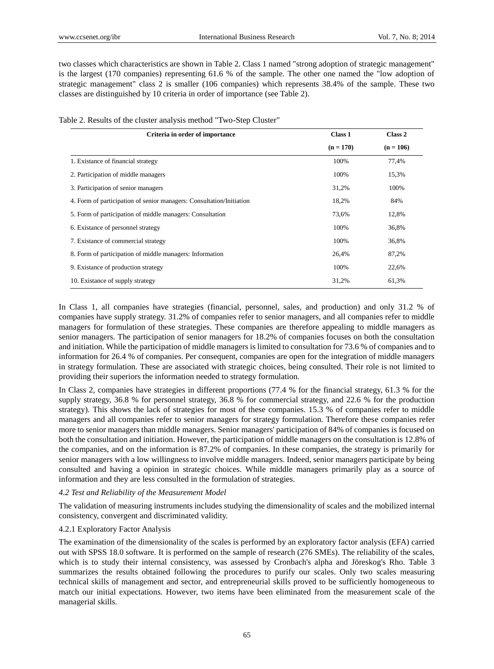two classes which characteristics are shown in Table 2. Class 1 named "strong adoption of strategic management" is the largest (170 companies) representing 61.6 % of the sample. The other one named the "low adoption of strategic management" class 2 is smaller (106 companies) which represents 38.4% of the sample. These two classes are distinguished by 10 criteria in order of importance (see Table 2).

|  |  |  | Table 2. Results of the cluster analysis method "Two-Step Cluster" |  |
|--|--|--|--------------------------------------------------------------------|--|
|  |  |  |                                                                    |  |

| Criteria in order of importance                                      | Class 1     | Class 2     |
|----------------------------------------------------------------------|-------------|-------------|
|                                                                      | $(n = 170)$ | $(n = 106)$ |
| 1. Existance of financial strategy                                   | 100%        | 77,4%       |
| 2. Participation of middle managers                                  | 100%        | 15,3%       |
| 3. Participation of senior managers                                  | 31,2%       | 100%        |
| 4. Form of participation of senior managers: Consultation/Initiation | 18,2%       | 84%         |
| 5. Form of participation of middle managers: Consultation            | 73,6%       | 12,8%       |
| 6. Existance of personnel strategy                                   | 100%        | 36,8%       |
| 7. Existance of commercial strategy                                  | 100%        | 36,8%       |
| 8. Form of participation of middle managers: Information             | 26,4%       | 87,2%       |
| 9. Existance of production strategy                                  | 100%        | 22,6%       |
| 10. Existance of supply strategy                                     | 31,2%       | 61,3%       |

In Class 1, all companies have strategies (financial, personnel, sales, and production) and only 31.2 % of companies have supply strategy. 31.2% of companies refer to senior managers, and all companies refer to middle managers for formulation of these strategies. These companies are therefore appealing to middle managers as senior managers. The participation of senior managers for 18.2% of companies focuses on both the consultation and initiation. While the participation of middle managers is limited to consultation for 73.6 % of companies and to information for 26.4 % of companies. Per consequent, companies are open for the integration of middle managers in strategy formulation. These are associated with strategic choices, being consulted. Their role is not limited to providing their superiors the information needed to strategy formulation.

In Class 2, companies have strategies in different proportions (77.4 % for the financial strategy, 61.3 % for the supply strategy, 36.8 % for personnel strategy, 36.8 % for commercial strategy, and 22.6 % for the production strategy). This shows the lack of strategies for most of these companies. 15.3 % of companies refer to middle managers and all companies refer to senior managers for strategy formulation. Therefore these companies refer more to senior managers than middle managers. Senior managers' participation of 84% of companies is focused on both the consultation and initiation. However, the participation of middle managers on the consultation is 12.8% of the companies, and on the information is 87.2% of companies. In these companies, the strategy is primarily for senior managers with a low willingness to involve middle managers. Indeed, senior managers participate by being consulted and having a opinion in strategic choices. While middle managers primarily play as a source of information and they are less consulted in the formulation of strategies.

# *4.2 Test and Reliability of the Measurement Model*

The validation of measuring instruments includes studying the dimensionality of scales and the mobilized internal consistency, convergent and discriminated validity.

# 4.2.1 Exploratory Factor Analysis

The examination of the dimensionality of the scales is performed by an exploratory factor analysis (EFA) carried out with SPSS 18.0 software. It is performed on the sample of research (276 SMEs). The reliability of the scales, which is to study their internal consistency, was assessed by Cronbach's alpha and Jöreskog's Rho. Table 3 summarizes the results obtained following the procedures to purify our scales. Only two scales measuring technical skills of management and sector, and entrepreneurial skills proved to be sufficiently homogeneous to match our initial expectations. However, two items have been eliminated from the measurement scale of the managerial skills.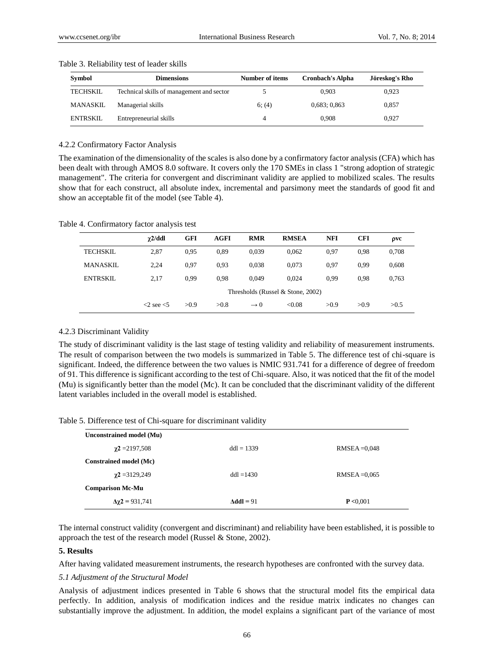| Symbol          | <b>Dimensions</b>                         | Number of items | Cronbach's Alpha | J öreskog's Rho |
|-----------------|-------------------------------------------|-----------------|------------------|-----------------|
| <b>TECHSKIL</b> | Technical skills of management and sector |                 | 0.903            | 0.923           |
| MANASKIL        | Managerial skills                         | 6: (4)          | 0,683;0,863      | 0,857           |
| <b>ENTRSKIL</b> | Entrepreneurial skills                    |                 | 0.908            | 0.927           |

#### Table 3. Reliability test of leader skills

#### 4.2.2 Confirmatory Factor Analysis

The examination of the dimensionality of the scales is also done by a confirmatory factor analysis (CFA) which has been dealt with through AMOS 8.0 software. It covers only the 170 SMEs in class 1 "strong adoption of strategic management". The criteria for convergent and discriminant validity are applied to mobilized scales. The results show that for each construct, all absolute index, incremental and parsimony meet the standards of good fit and show an acceptable fit of the model (see Table 4).

#### Table 4. Confirmatory factor analysis test

|                 | $\gamma$ 2/ddl                    | <b>GFI</b> | AGFI | <b>RMR</b>      | <b>RMSEA</b> | NFI  | <b>CFI</b> | pvc   |  |
|-----------------|-----------------------------------|------------|------|-----------------|--------------|------|------------|-------|--|
| <b>TECHSKIL</b> | 2,87                              | 0.95       | 0.89 | 0.039           | 0.062        | 0.97 | 0.98       | 0,708 |  |
| <b>MANASKIL</b> | 2,24                              | 0.97       | 0.93 | 0.038           | 0.073        | 0.97 | 0,99       | 0,608 |  |
| ENTRSKIL        | 2.17                              | 0.99       | 0.98 | 0.049           | 0.024        | 0.99 | 0.98       | 0,763 |  |
|                 | Thresholds (Russel & Stone, 2002) |            |      |                 |              |      |            |       |  |
|                 | $<$ 2 see $<$ 5                   | >0.9       | >0.8 | $\rightarrow$ 0 | < 0.08       | >0.9 | >0.9       | >0.5  |  |

#### 4.2.3 Discriminant Validity

The study of discriminant validity is the last stage of testing validity and reliability of measurement instruments. The result of comparison between the two models is summarized in Table 5. The difference test of chi-square is significant. Indeed, the difference between the two values is NMIC 931.741 for a difference of degree of freedom of 91. This difference is significant according to the test of Chi-square. Also, it was noticed that the fit of the model (Mu) is significantly better than the model (Mc). It can be concluded that the discriminant validity of the different latent variables included in the overall model is established.

| Table 5. Difference test of Chi-square for discriminant validity |  |  |  |
|------------------------------------------------------------------|--|--|--|
|                                                                  |  |  |  |

| Unconstrained model (Mu)  |                   |                 |
|---------------------------|-------------------|-----------------|
| $\chi$ 2 = 2197,508       | $dd1 = 1339$      | $RMSEA = 0.048$ |
| Constrained model (Mc)    |                   |                 |
| $\gamma$ 2 = 3129,249     | $dd1 = 1430$      | $RMSEA = 0.065$ |
| <b>Comparison Mc-Mu</b>   |                   |                 |
| $\Delta \chi$ 2 = 931,741 | $\Delta ddl = 91$ | P < 0.001       |

The internal construct validity (convergent and discriminant) and reliability have been established, it is possible to approach the test of the research model (Russel & Stone, 2002).

## **5. Results**

After having validated measurement instruments, the research hypotheses are confronted with the survey data.

# *5.1 Adjustment of the Structural Model*

Analysis of adjustment indices presented in Table 6 shows that the structural model fits the empirical data perfectly. In addition, analysis of modification indices and the residue matrix indicates no changes can substantially improve the adjustment. In addition, the model explains a significant part of the variance of most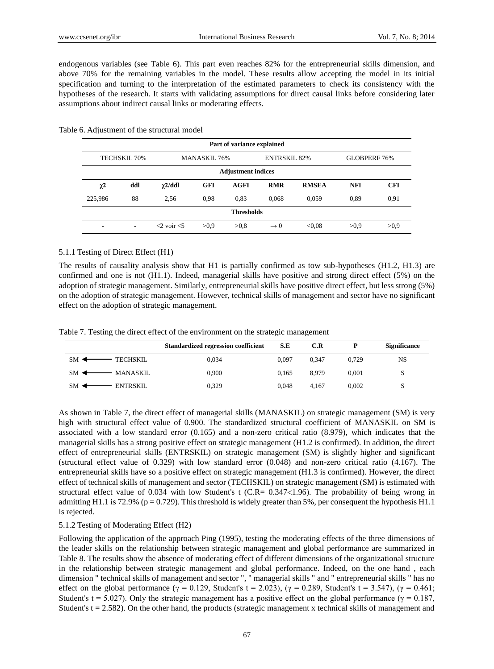endogenous variables (see Table 6). This part even reaches 82% for the entrepreneurial skills dimension, and above 70% for the remaining variables in the model. These results allow accepting the model in its initial specification and turning to the interpretation of the estimated parameters to check its consistency with the hypotheses of the research. It starts with validating assumptions for direct causal links before considering later assumptions about indirect causal links or moderating effects.

Table 6. Adjustment of the structural model

| Part of variance explained |                           |                  |                     |             |                     |              |              |      |
|----------------------------|---------------------------|------------------|---------------------|-------------|---------------------|--------------|--------------|------|
|                            | <b>TECHSKIL 70%</b>       |                  | <b>MANASKIL 76%</b> |             | <b>ENTRSKIL 82%</b> |              | GLOBPERF 76% |      |
|                            | <b>Adjustment indices</b> |                  |                     |             |                     |              |              |      |
| $\chi^2$                   | ddl                       | $\gamma$ 2/ddl   | GFI                 | <b>AGFI</b> | <b>RMR</b>          | <b>RMSEA</b> | <b>NFI</b>   | CFI  |
| 225,986                    | 88                        | 2.56             | 0.98                | 0.83        | 0.068               | 0.059        | 0.89         | 0.91 |
| <b>Thresholds</b>          |                           |                  |                     |             |                     |              |              |      |
|                            | ۰                         | $<$ 2 voir $<$ 5 | >0.9                | >0.8        | $\rightarrow$ 0     | < 0.08       | >0.9         | >0.9 |

# 5.1.1 Testing of Direct Effect (H1)

The results of causality analysis show that H1 is partially confirmed as tow sub-hypotheses (H1.2, H1.3) are confirmed and one is not (H1.1). Indeed, managerial skills have positive and strong direct effect (5%) on the adoption of strategic management. Similarly, entrepreneurial skills have positive direct effect, but less strong (5%) on the adoption of strategic management. However, technical skills of management and sector have no significant effect on the adoption of strategic management.

Table 7. Testing the direct effect of the environment on the strategic management

|                                          | <b>Standardized regression coefficient</b> | S.E   | C.R   |       | <b>Significance</b> |
|------------------------------------------|--------------------------------------------|-------|-------|-------|---------------------|
|                                          | 0.034                                      | 0.097 | 0.347 | 0.729 | NS.                 |
| $SM \leftarrow \longrightarrow$ MANASKIL | 0.900                                      | 0.165 | 8.979 | 0.001 | S                   |
| $SM \leftarrow \longrightarrow ENTRSKIL$ | 0.329                                      | 0.048 | 4.167 | 0.002 | S                   |

As shown in Table 7, the direct effect of managerial skills (MANASKIL) on strategic management (SM) is very high with structural effect value of 0.900. The standardized structural coefficient of MANASKIL on SM is associated with a low standard error (0.165) and a non-zero critical ratio (8.979), which indicates that the managerial skills has a strong positive effect on strategic management (H1.2 is confirmed). In addition, the direct effect of entrepreneurial skills (ENTRSKIL) on strategic management (SM) is slightly higher and significant (structural effect value of 0.329) with low standard error (0.048) and non-zero critical ratio (4.167). The entrepreneurial skills have so a positive effect on strategic management (H1.3 is confirmed). However, the direct effect of technical skills of management and sector (TECHSKIL) on strategic management (SM) is estimated with structural effect value of 0.034 with low Student's t (C.R=  $0.347<1.96$ ). The probability of being wrong in admitting H1.1 is 72.9% ( $p = 0.729$ ). This threshold is widely greater than 5%, per consequent the hypothesis H1.1 is rejected.

## 5.1.2 Testing of Moderating Effect (H2)

Following the application of the approach Ping (1995), testing the moderating effects of the three dimensions of the leader skills on the relationship between strategic management and global performance are summarized in Table 8. The results show the absence of moderating effect of different dimensions of the organizational structure in the relationship between strategic management and global performance. Indeed, on the one hand , each dimension " technical skills of management and sector ", " managerial skills " and " entrepreneurial skills " has no effect on the global performance ( $\gamma = 0.129$ , Student's t = 2.023), ( $\gamma = 0.289$ , Student's t = 3.547), ( $\gamma = 0.461$ ; Student's t = 5.027). Only the strategic management has a positive effect on the global performance ( $\gamma$  = 0.187, Student's  $t = 2.582$ ). On the other hand, the products (strategic management x technical skills of management and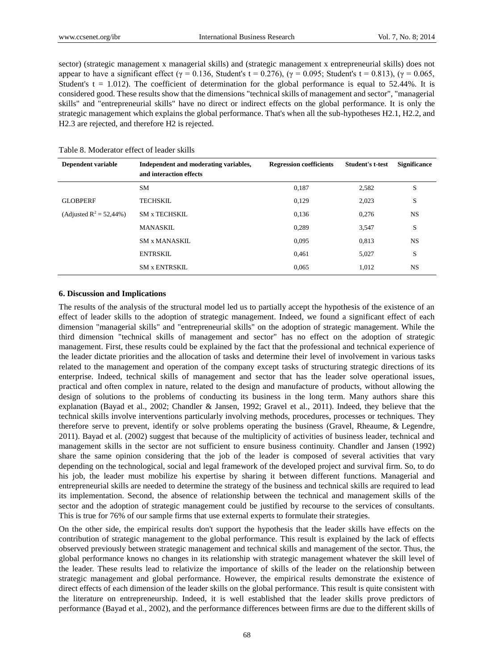sector) (strategic management x managerial skills) and (strategic management x entrepreneurial skills) does not appear to have a significant effect ( $\gamma = 0.136$ , Student's t = 0.276), ( $\gamma = 0.095$ ; Student's t = 0.813), ( $\gamma = 0.065$ , Student's  $t = 1.012$ ). The coefficient of determination for the global performance is equal to 52.44%. It is considered good. These results show that the dimensions "technical skills of management and sector", "managerial skills" and "entrepreneurial skills" have no direct or indirect effects on the global performance. It is only the strategic management which explains the global performance. That's when all the sub-hypotheses H2.1, H2.2, and H2.3 are rejected, and therefore H2 is rejected.

| Dependent variable          | Independent and moderating variables,<br>and interaction effects | <b>Regression coefficients</b> | <b>Student's t-test</b> | <b>Significance</b> |
|-----------------------------|------------------------------------------------------------------|--------------------------------|-------------------------|---------------------|
|                             | SM                                                               | 0.187                          | 2,582                   | S                   |
| <b>GLOBPERF</b>             | <b>TECHSKIL</b>                                                  | 0,129                          | 2,023                   | S                   |
| (Adjusted $R^2 = 52,44\%$ ) | <b>SM x TECHSKIL</b>                                             | 0.136                          | 0,276                   | <b>NS</b>           |
|                             | <b>MANASKIL</b>                                                  | 0.289                          | 3,547                   | S                   |
|                             | SM x MANASKIL                                                    | 0.095                          | 0,813                   | <b>NS</b>           |
|                             | <b>ENTRSKIL</b>                                                  | 0,461                          | 5,027                   | S                   |
|                             | <b>SM x ENTRSKIL</b>                                             | 0.065                          | 1,012                   | <b>NS</b>           |

Table 8. Moderator effect of leader skills

#### **6. Discussion and Implications**

The results of the analysis of the structural model led us to partially accept the hypothesis of the existence of an effect of leader skills to the adoption of strategic management. Indeed, we found a significant effect of each dimension "managerial skills" and "entrepreneurial skills" on the adoption of strategic management. While the third dimension "technical skills of management and sector" has no effect on the adoption of strategic management. First, these results could be explained by the fact that the professional and technical experience of the leader dictate priorities and the allocation of tasks and determine their level of involvement in various tasks related to the management and operation of the company except tasks of structuring strategic directions of its enterprise. Indeed, technical skills of management and sector that has the leader solve operational issues, practical and often complex in nature, related to the design and manufacture of products, without allowing the design of solutions to the problems of conducting its business in the long term. Many authors share this explanation (Bayad et al., 2002; Chandler & Jansen, 1992; Gravel et al., 2011). Indeed, they believe that the technical skills involve interventions particularly involving methods, procedures, processes or techniques. They therefore serve to prevent, identify or solve problems operating the business (Gravel, Rheaume, & Legendre, 2011). Bayad et al. (2002) suggest that because of the multiplicity of activities of business leader, technical and management skills in the sector are not sufficient to ensure business continuity. Chandler and Jansen (1992) share the same opinion considering that the job of the leader is composed of several activities that vary depending on the technological, social and legal framework of the developed project and survival firm. So, to do his job, the leader must mobilize his expertise by sharing it between different functions. Managerial and entrepreneurial skills are needed to determine the strategy of the business and technical skills are required to lead its implementation. Second, the absence of relationship between the technical and management skills of the sector and the adoption of strategic management could be justified by recourse to the services of consultants. This is true for 76% of our sample firms that use external experts to formulate their strategies.

On the other side, the empirical results don't support the hypothesis that the leader skills have effects on the contribution of strategic management to the global performance. This result is explained by the lack of effects observed previously between strategic management and technical skills and management of the sector. Thus, the global performance knows no changes in its relationship with strategic management whatever the skill level of the leader. These results lead to relativize the importance of skills of the leader on the relationship between strategic management and global performance. However, the empirical results demonstrate the existence of direct effects of each dimension of the leader skills on the global performance. This result is quite consistent with the literature on entrepreneurship. Indeed, it is well established that the leader skills prove predictors of performance (Bayad et al., 2002), and the performance differences between firms are due to the different skills of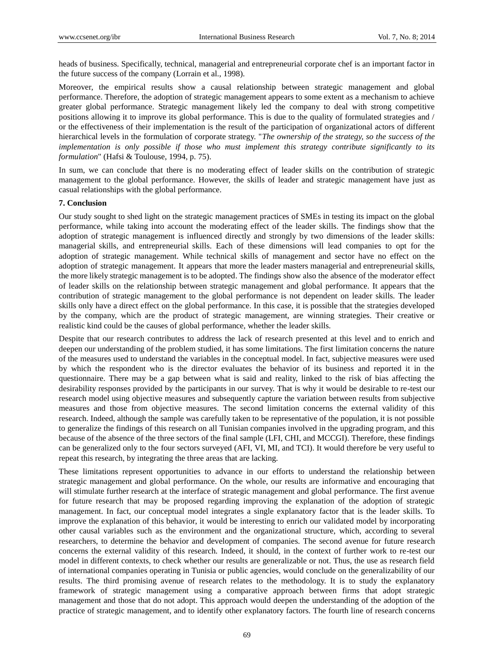heads of business. Specifically, technical, managerial and entrepreneurial corporate chef is an important factor in the future success of the company (Lorrain et al., 1998).

Moreover, the empirical results show a causal relationship between strategic management and global performance. Therefore, the adoption of strategic management appears to some extent as a mechanism to achieve greater global performance. Strategic management likely led the company to deal with strong competitive positions allowing it to improve its global performance. This is due to the quality of formulated strategies and / or the effectiveness of their implementation is the result of the participation of organizational actors of different hierarchical levels in the formulation of corporate strategy. "*The ownership of the strategy, so the success of the implementation is only possible if those who must implement this strategy contribute significantly to its formulation*" (Hafsi & Toulouse, 1994, p. 75).

In sum, we can conclude that there is no moderating effect of leader skills on the contribution of strategic management to the global performance. However, the skills of leader and strategic management have just as casual relationships with the global performance.

## **7. Conclusion**

Our study sought to shed light on the strategic management practices of SMEs in testing its impact on the global performance, while taking into account the moderating effect of the leader skills. The findings show that the adoption of strategic management is influenced directly and strongly by two dimensions of the leader skills: managerial skills, and entrepreneurial skills. Each of these dimensions will lead companies to opt for the adoption of strategic management. While technical skills of management and sector have no effect on the adoption of strategic management. It appears that more the leader masters managerial and entrepreneurial skills, the more likely strategic management is to be adopted. The findings show also the absence of the moderator effect of leader skills on the relationship between strategic management and global performance. It appears that the contribution of strategic management to the global performance is not dependent on leader skills. The leader skills only have a direct effect on the global performance. In this case, it is possible that the strategies developed by the company, which are the product of strategic management, are winning strategies. Their creative or realistic kind could be the causes of global performance, whether the leader skills.

Despite that our research contributes to address the lack of research presented at this level and to enrich and deepen our understanding of the problem studied, it has some limitations. The first limitation concerns the nature of the measures used to understand the variables in the conceptual model. In fact, subjective measures were used by which the respondent who is the director evaluates the behavior of its business and reported it in the questionnaire. There may be a gap between what is said and reality, linked to the risk of bias affecting the desirability responses provided by the participants in our survey. That is why it would be desirable to re-test our research model using objective measures and subsequently capture the variation between results from subjective measures and those from objective measures. The second limitation concerns the external validity of this research. Indeed, although the sample was carefully taken to be representative of the population, it is not possible to generalize the findings of this research on all Tunisian companies involved in the upgrading program, and this because of the absence of the three sectors of the final sample (LFI, CHI, and MCCGI). Therefore, these findings can be generalized only to the four sectors surveyed (AFI, VI, MI, and TCI). It would therefore be very useful to repeat this research, by integrating the three areas that are lacking.

These limitations represent opportunities to advance in our efforts to understand the relationship between strategic management and global performance. On the whole, our results are informative and encouraging that will stimulate further research at the interface of strategic management and global performance. The first avenue for future research that may be proposed regarding improving the explanation of the adoption of strategic management. In fact, our conceptual model integrates a single explanatory factor that is the leader skills. To improve the explanation of this behavior, it would be interesting to enrich our validated model by incorporating other causal variables such as the environment and the organizational structure, which, according to several researchers, to determine the behavior and development of companies. The second avenue for future research concerns the external validity of this research. Indeed, it should, in the context of further work to re-test our model in different contexts, to check whether our results are generalizable or not. Thus, the use as research field of international companies operating in Tunisia or public agencies, would conclude on the generalizability of our results. The third promising avenue of research relates to the methodology. It is to study the explanatory framework of strategic management using a comparative approach between firms that adopt strategic management and those that do not adopt. This approach would deepen the understanding of the adoption of the practice of strategic management, and to identify other explanatory factors. The fourth line of research concerns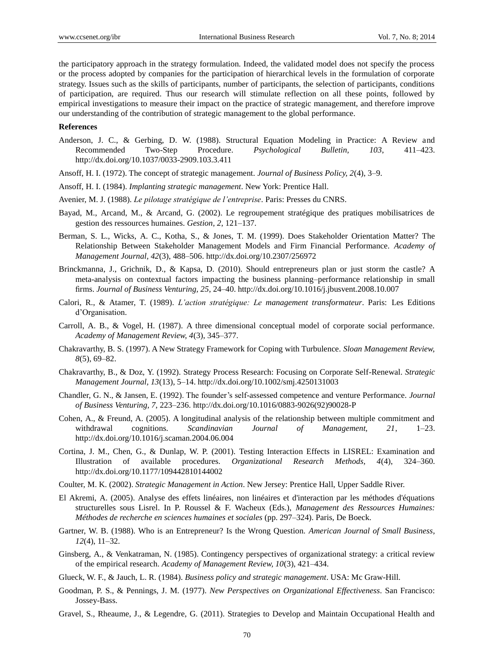the participatory approach in the strategy formulation. Indeed, the validated model does not specify the process or the process adopted by companies for the participation of hierarchical levels in the formulation of corporate strategy. Issues such as the skills of participants, number of participants, the selection of participants, conditions of participation, are required. Thus our research will stimulate reflection on all these points, followed by empirical investigations to measure their impact on the practice of strategic management, and therefore improve our understanding of the contribution of strategic management to the global performance.

#### **References**

- Anderson, J. C., & Gerbing, D. W. (1988). Structural Equation Modeling in Practice: A Review and Recommended Two-Step Procedure. *Psychological Bulletin, 103*, 411–423. http://dx.doi.org/10.1037/0033-2909.103.3.411
- Ansoff, H. I. (1972). The concept of strategic management. *Journal of Business Policy, 2*(4), 3–9.
- Ansoff, H. I. (1984). *Implanting strategic management*. New York: Prentice Hall.
- Avenier, M. J. (1988). *Le pilotage stratégique de l'entreprise*. Paris: Presses du CNRS.
- Bayad, M., Arcand, M., & Arcand, G. (2002). Le regroupement stratégique des pratiques mobilisatrices de gestion des ressources humaines. *Gestion, 2*, 121–137.
- Berman, S. L., Wicks, A. C., Kotha, S., & Jones, T. M. (1999). Does Stakeholder Orientation Matter? The Relationship Between Stakeholder Management Models and Firm Financial Performance. *Academy of Management Journal, 42*(3), 488–506. http://dx.doi.org/10.2307/256972
- Brinckmanna, J., Grichnik, D., & Kapsa, D. (2010). Should entrepreneurs plan or just storm the castle? A meta-analysis on contextual factors impacting the business planning–performance relationship in small firms. *Journal of Business Venturing, 25*, 24–40. http://dx.doi.org/10.1016/j.jbusvent.2008.10.007
- Calori, R., & Atamer, T. (1989). *L'action stratégique: Le management transformateur*. Paris: Les Editions d'Organisation.
- Carroll, A. B., & Vogel, H. (1987). A three dimensional conceptual model of corporate social performance. *Academy of Management Review, 4*(3), 345–377.
- Chakravarthy, B. S. (1997). A New Strategy Framework for Coping with Turbulence. *Sloan Management Review, 8*(5), 69–82.
- Chakravarthy, B., & Doz, Y. (1992). Strategy Process Research: Focusing on Corporate Self-Renewal. *Strategic Management Journal, 13*(13), 5–14. http://dx.doi.org/10.1002/smj.4250131003
- Chandler, G. N., & Jansen, E. (1992). The founder's self-assessed competence and venture Performance. *Journal of Business Venturing, 7*, 223–236. http://dx.doi.org/10.1016/0883-9026(92)90028-P
- Cohen, A., & Freund, A. (2005). A longitudinal analysis of the relationship between multiple commitment and withdrawal cognitions. *Scandinavian Journal of Management, 21*, 1–23. http://dx.doi.org/10.1016/j.scaman.2004.06.004
- Cortina, J. M., Chen, G., & Dunlap, W. P. (2001). Testing Interaction Effects in LISREL: Examination and Illustration of available procedures. *Organizational Research Methods, 4*(4), 324–360. http://dx.doi.org/10.1177/109442810144002
- Coulter, M. K. (2002). *Strategic Management in Action*. New Jersey: Prentice Hall, Upper Saddle River.
- El Akremi, A. (2005). Analyse des effets linéaires, non linéaires et d'interaction par les méthodes d'équations structurelles sous Lisrel. In P. Roussel & F. Wacheux (Eds.), *Management des Ressources Humaines: Méthodes de recherche en sciences humaines et sociales* (pp. 297–324). Paris, De Boeck.
- Gartner, W. B. (1988). Who is an Entrepreneur? Is the Wrong Question. *American Journal of Small Business*, *12*(4), 11–32.
- Ginsberg, A., & Venkatraman, N. (1985). Contingency perspectives of organizational strategy: a critical review of the empirical research. *Academy of Management Review, 10*(3), 421–434.
- Glueck, W. F., & Jauch, L. R. (1984). *Business policy and strategic management*. USA: Mc Graw-Hill.
- Goodman, P. S., & Pennings, J. M. (1977). *New Perspectives on Organizational Effectiveness*. San Francisco: Jossey-Bass.
- Gravel, S., Rheaume, J., & Legendre, G. (2011). Strategies to Develop and Maintain Occupational Health and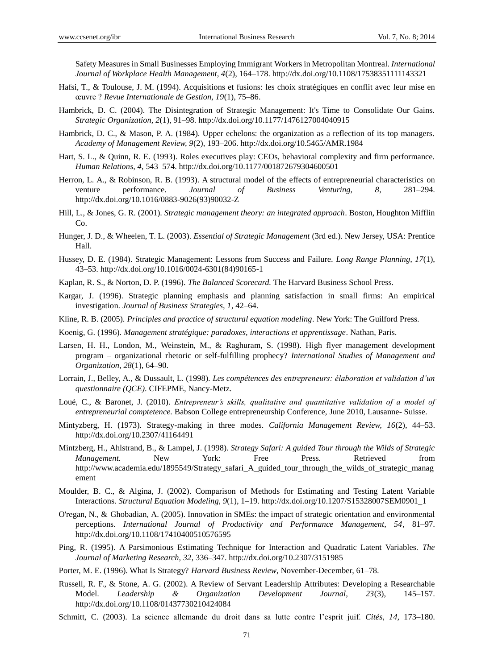Safety Measures in Small Businesses Employing Immigrant Workers in Metropolitan Montreal. *International Journal of Workplace Health Management, 4*(2), 164–178. http://dx.doi.org/10.1108/17538351111143321

- Hafsi, T., & Toulouse, J. M. (1994). Acquisitions et fusions: les choix stratégiques en conflit avec leur mise en œuvre ? *Revue Internationale de Gestion, 19*(1), 75–86.
- Hambrick, D. C. (2004). The Disintegration of Strategic Management: It's Time to Consolidate Our Gains. *Strategic Organization, 2*(1), 91–98. http://dx.doi.org/10.1177/1476127004040915
- Hambrick, D. C., & Mason, P. A. (1984). Upper echelons: the organization as a reflection of its top managers. *Academy of Management Review, 9*(2), 193–206. http://dx.doi.org/10.5465/AMR.1984
- Hart, S. L., & Quinn, R. E. (1993). Roles executives play: CEOs, behavioral complexity and firm performance. *Human Relations, 4*, 543–574. http://dx.doi.org/10.1177/001872679304600501
- Herron, L. A., & Robinson, R. B. (1993). A structural model of the effects of entrepreneurial characteristics on venture performance. *Journal of Business Venturing, 8*, 281–294. http://dx.doi.org/10.1016/0883-9026(93)90032-Z
- Hill, L., & Jones, G. R. (2001). *Strategic management theory: an integrated approach*. Boston, Houghton Mifflin Co.
- Hunger, J. D., & Wheelen, T. L. (2003). *Essential of Strategic Management* (3rd ed.). New Jersey, USA: Prentice Hall.
- Hussey, D. E. (1984). Strategic Management: Lessons from Success and Failure. *Long Range Planning, 17*(1), 43–53. http://dx.doi.org/10.1016/0024-6301(84)90165-1
- Kaplan, R. S., & Norton, D. P. (1996). *The Balanced Scorecard.* The Harvard Business School Press.
- Kargar, J. (1996). Strategic planning emphasis and planning satisfaction in small firms: An empirical investigation. *Journal of Business Strategies, 1*, 42–64.
- Kline, R. B. (2005). *Principles and practice of structural equation modeling*. New York: The Guilford Press.
- Koenig, G. (1996)*. Management stratégique: paradoxes, interactions et apprentissage*. Nathan, Paris.
- Larsen, H. H., London, M., Weinstein, M., & Raghuram, S. (1998). High flyer management development program – organizational rhetoric or self-fulfilling prophecy? *International Studies of Management and Organization, 28*(1), 64**–**90.
- Lorrain, J., Belley, A., & Dussault, L. (1998). *Les compétences des entrepreneurs: élaboration et validation d'un questionnaire (QCE)*. CIFEPME, Nancy-Metz.
- Loué, C., & Baronet, J. (2010). *Entrepreneur's skills, qualitative and quantitative validation of a model of entrepreneurial comptetence.* Babson College entrepreneurship Conference, June 2010, Lausanne- Suisse.
- Mintyzberg, H. (1973). Strategy-making in three modes. *California Management Review, 16*(2), 44–53. http://dx.doi.org/10.2307/41164491
- Mintzberg, H., Ahlstrand, B., & Lampel, J. (1998). *Strategy Safari: A guided Tour through the Wilds of Strategic Management.* New York: Free Press*.* Retrieved from http://www.academia.edu/1895549/Strategy\_safari\_A\_guided\_tour\_through\_the\_wilds\_of\_strategic\_manag ement
- Moulder, B. C., & Algina, J. (2002). Comparison of Methods for Estimating and Testing Latent Variable Interactions. *Structural Equation Modeling, 9*(1), 1–19. http://dx.doi.org/10.1207/S15328007SEM0901\_1
- O'regan, N., & Ghobadian, A. (2005). Innovation in SMEs: the impact of strategic orientation and environmental perceptions. *International Journal of Productivity and Performance Management, 54*, 81–97. http://dx.doi.org/10.1108/17410400510576595
- Ping, R. (1995). A Parsimonious Estimating Technique for Interaction and Quadratic Latent Variables. *The Journal of Marketing Research, 32*, 336–347. http://dx.doi.org/10.2307/3151985
- Porter, M. E. (1996). What Is Strategy? *Harvard Business Review*, November-December, 61–78.
- Russell, R. F., & Stone, A. G. (2002). A Review of Servant Leadership Attributes: Developing a Researchable Model. *Leadership & Organization Development Journal, 23*(3), 145–157. http://dx.doi.org/10.1108/01437730210424084
- Schmitt, C. (2003). La science allemande du droit dans sa lutte contre l'esprit juif. *Cités, 14,* 173–180.